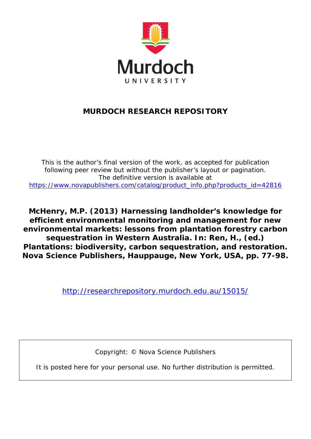

# **MURDOCH RESEARCH REPOSITORY**

*This is the author's final version of the work, as accepted for publication following peer review but without the publisher's layout or pagination. The definitive version is available at [https://www.novapublishers.com/catalog/product\\_info.php?products\\_id=42816](https://www.novapublishers.com/catalog/product_info.php?products_id=42816)*

**McHenry, M.P. (2013) Harnessing landholder's knowledge for efficient environmental monitoring and management for new environmental markets: lessons from plantation forestry carbon sequestration in Western Australia. In: Ren, H., (ed.) Plantations: biodiversity, carbon sequestration, and restoration. Nova Science Publishers, Hauppauge, New York, USA, pp. 77-98.**

<http://researchrepository.murdoch.edu.au/15015/>

Copyright: © Nova Science Publishers

It is posted here for your personal use. No further distribution is permitted.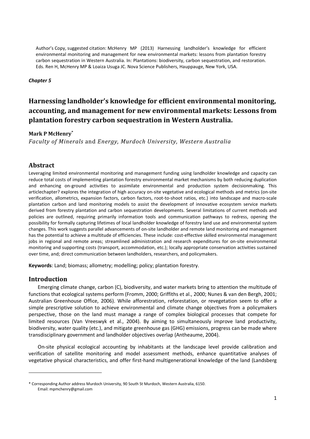#### *Chapter 5*

## **Harnessing landholder's knowledge for efficient environmental monitoring, accounting, and management for new environmental markets: Lessons from plantation forestry carbon sequestration in Western Australia.**

#### **Mark P McHenry\***

*Faculty of Minerals* and *Energy, Murdoch University, Western Australia* 

#### **Abstract**

Leveraging limited environmental monitoring and management funding using landholder knowledge and capacity can reduce total costs of implementing plantation forestry environmental market mechanisms by both reducing duplication and enhancing on-ground activities to assimilate environmental and production system decisionmaking. This articlechapter? explores the integration of high accuracy on-site vegetative and ecological methods and metrics (on-site verification, allometrics, expansion factors, carbon factors, root-to-shoot ratios, etc.) into landscape and macro-scale plantation carbon and land monitoring models to assist the development of innovative ecosystem service markets derived from forestry plantation and carbon sequestration developments. Several limitations of current methods and policies are outlined, requiring primarily information tools and communication pathways to redress, opening the possibility for formally capturing lifetimes of local landholder knowledge of forestry land use and environmental system changes. This work suggests parallel advancements of on-site landholder and remote land monitoring and management has the potential to achieve a multitude of efficiencies. These include: cost-effective skilled environmental management jobs in regional and remote areas; streamlined administration and research expenditures for on-site environmental monitoring and supporting costs (transport, accommodation, etc.); locally appropriate conservation activities sustained over time, and; direct communication between landholders, researchers, and policymakers.

**Keywords**: Land; biomass; allometry; modelling; policy; plantation forestry.

#### **Introduction**

.

Emerging climate change, carbon (C), biodiversity, and water markets bring to attention the multitude of functions that ecological systems perform (Fromm, 2000; Griffiths et al., 2000; Nunes & van den Bergh, 2001; Australian Greenhouse Office, 2006). While afforestration, reforestation, or revegetation seem to offer a simple prescriptive solution to achieve environmental and climate change objectives from a policymakers perspective, those on the land must manage a range of complex biological processes that compete for limited resources (Van Vreeswyk et al., 2004). By aiming to simultaneously improve land productivity, biodiversity, water quality (etc.), and mitigate greenhouse gas (GHG) emissions, progress can be made where transdisciplinary government and landholder objectives overlap (Antheaume, 2004).

On-site physical ecological accounting by inhabitants at the landscape level provide calibration and verification of satellite monitoring and model assessment methods, enhance quantitative analyses of vegetative physical characteristics, and offer first-hand multigenerational knowledge of the land (Landsberg

<sup>\*</sup> Corresponding Author address Murdoch University, 90 South St Murdoch, Western Australia, 6150. Email: mpmchenry@gmail.com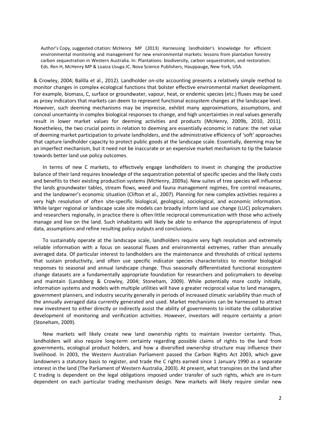& Crowley, 2004; Balilla et al., 2012). Landholder on-site accounting presents a relatively simple method to monitor changes in complex ecological functions that bolster effective environmental market development. For example, biomass, C, surface or groundwater, vapour, heat, or endemic species (etc.) fluxes may be used as proxy indicators that markets can deem to represent functional ecosystem changes at the landscape level. However, such deeming mechanisms may be imprecise, exhibit many approximations, assumptions, and conceal uncertainty in complex biological responses to change, and high uncertainties in real values generally result in lower market values for deeming activities and products (McHenry, 2009b, 2010, 2011). Nonetheless, the two crucial points in relation to deeming are essentially economic in nature: the net value of deeming market participation to private landholders, and the administrative efficiency of 'soft' approaches that capture landholder capacity to protect public goods at the landscape scale. Essentially, deeming may be an imperfect mechanism, but it need not be inaccurate or an expensive market mechanism to tip the balance towards better land use policy outcomes.

In terms of new C markets, to effectively engage landholders to invest in changing the productive balance of their land requires knowledge of the sequestration potential of specific species and the likely costs and benefits to their existing production systems (McHenry, 2009a). New suites of tree species will influence the lands groundwater tables, stream flows, weed and fauna management regimes, fire control measures, and the landowner's economic situation (Clifton et al., 2007). Planning for new complex activities requires a very high resolution of often site-specific biological, geological, sociological, and economic information. While larger regional or landscape scale site models can broadly inform land use change (LUC) policymakers and researchers regionally, in practice there is often little reciprocal communication with those who actively manage and live on the land. Such inhabitants will likely be able to enhance the appropriateness of input data, assumptions and refine resulting policy outputs and conclusions.

To sustainably operate at the landscape scale, landholders require very high resolution and extremely reliable information with a focus on seasonal fluxes and environmental extremes, rather than annually averaged data. Of particular interest to landholders are the maintenance and thresholds of critical systems that sustain productivity, and often use specific indicator species characteristics to monitor biological responses to seasonal and annual landscape change. Thus seasonally differentiated functional ecosystem change datasets are a fundamentally appropriate foundation for researchers and policymakers to develop and maintain (Landsberg & Crowley, 2004; Stoneham, 2009). While potentially more costly initially, information systems and models with multiple utilities will have a greater reciprocal value to land managers, government planners, and industry security generally in periods of increased climatic variability than much of the annually averaged data currently generated and used. Market mechanisms can be harnessed to attract new investment to either directly or indirectly assist the ability of governments to initiate the collaborative development of monitoring and verification activities. However, investors will require certainty a priori (Stoneham, 2009).

New markets will likely create new land ownership rights to maintain investor certainty. Thus, landholders will also require long-term certainty regarding possible claims of rights to the land from governments, ecological product holders, and how a diversified ownership structure may influence their livelihood. In 2003, the Western Australian Parliament passed the Carbon Rights Act 2003, which gave landowners a statutory basis to register, and trade the C rights earned since 1 January 1990 as a separate interest in the land (The Parliament of Western Australia, 2003). At present, what transpires on the land after C trading is dependent on the legal obligations imposed under transfer of such rights, which are in-turn dependent on each particular trading mechanism design. New markets will likely require similar new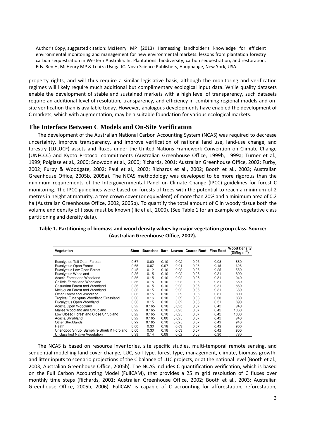property rights, and will thus require a similar legislative basis, although the monitoring and verification regimes will likely require much additional but complimentary ecological input data. While quality datasets enable the development of stable and sustained markets with a high level of transparency, such datasets require an additional level of resolution, transparency, and efficiency in combining regional models and onsite verification than is available today. However, analogous developments have enabled the development of C markets, which with augmentation, may be a suitable foundation for various ecological markets.

#### **The Interface Between C Models and On-Site Verification**

The development of the Australian National Carbon Accounting System (NCAS) was required to decrease uncertainty, improve transparency, and improve verification of national land use, land-use change, and forestry (LULUCF) assets and fluxes under the United Nations Framework Convention on Climate Change (UNFCCC) and Kyoto Protocol commitments (Australian Greenhouse Office, 1999b, 1999a; Turner et al., 1999; Polglase et al., 2000; Snowdon et al., 2000; Richards, 2001; Australian Greenhouse Office, 2002; Furby, 2002; Furby & Woodgate, 2002; Paul et al., 2002; Richards et al., 2002; Booth et al., 2003; Australian Greenhouse Office, 2005b, 2005a). The NCAS methodology was developed to be more rigorous than the minimum requirements of the Intergovernmental Panel on Climate Change (IPCC) guidelines for forest C monitoring. The IPCC guidelines were based on forests of trees with the potential to reach a minimum of 2 metres in height at maturity, a tree crown cover (or equivalent) of more than 20% and a minimum area of 0.2 ha (Australian Greenhouse Office, 2002, 2005b). To quantify the total amount of C in woody tissue both the volume and density of tissue must be known (Ilic et al., 2000). (See Table 1 for an example of vegetative class partitioning and density data).

| Vegetation                                | Stem |       |      |       | Branches Bark Leaves Coarse Root Fine Root |      | <b>Wood Density</b><br>(DMkg $m^3$ ) |
|-------------------------------------------|------|-------|------|-------|--------------------------------------------|------|--------------------------------------|
|                                           |      |       |      |       |                                            |      |                                      |
| Eucalyptus Tall Open Forests              | 0.67 | 0.09  | 0.10 | 0.02  | 0.03                                       | 0.08 | 550                                  |
| Eucalyptus Open Forest                    | 0.65 | 0.07  | 0.07 | 0.01  | 0.05                                       | 0.15 | 625                                  |
| Eucalyptus Low Open Forest                | 0.45 | 0.12  | 0.10 | 0.02  | 0.05                                       | 0.25 | 550                                  |
| Eucalyptus Woodland                       | 0.36 | 0.15  | 0.10 | 0.02  | 0.06                                       | 0.31 | 890                                  |
| Acacia Forest and Woodland                | 0.36 | 0.15  | 0.10 | 0.02  | 0.06                                       | 0.31 | 940                                  |
| Callitris Forest and Woodland             | 0.36 | 0.15  | 0.10 | 0.02  | 0.06                                       | 0.31 | 650                                  |
| Casuarina Forest and Woodland             | 0.36 | 0.15  | 0.10 | 0.02  | 0.06                                       | 0.31 | 860                                  |
| Melaleuca Forest and Woodland             | 0.36 | 0.15  | 0.10 | 0.02  | 0.06                                       | 0.31 | 660                                  |
| Other Forest and Woodland                 | 0.36 | 0.15  | 0.10 | 0.02  | 0.06                                       | 0.31 | 800                                  |
| Tropical Eucalyptus Woodland/Grassland    | 0.36 | 0.16  | 0.10 | 0.02  | 0.06                                       | 0.30 | 830                                  |
| Eucalyptus Open Woodland                  | 0.36 | 0.15  | 0.10 | 0.02  | 0.06                                       | 0.31 | 890                                  |
| Acacia Open Woodland                      | 0.22 | 0.165 | 0.10 | 0.025 | 0.07                                       | 0.42 | 940                                  |
| Mallee Woodland and Shrubland             | 0.22 | 0.165 | 0.10 | 0.025 | 0.07                                       | 0.42 | 1060                                 |
| Low Closed Forest and Close Shrubland     | 0.22 | 0.165 | 0.10 | 0.025 | 0.07                                       | 0.42 | 1000                                 |
| Acacia Shrubland                          | 0.22 | 0.165 | 0.00 | 0.025 | 0.07                                       | 0.42 | 940                                  |
| <b>Other Shrublands</b>                   | 0.22 | 0.165 | 0.10 | 0.025 | 0.07                                       | 0.42 | 940                                  |
| Heath                                     | 0.00 | 0.30  | 0.18 | 0.03  | 0.07                                       | 0.42 | 900                                  |
| Chenopod Shrub, Samphire Shrub & Forbland | 0.00 | 0.30  | 0.18 | 0.03  | 0.07                                       | 0.42 | 900                                  |
| Unclassified Native Vegetation            | 0.39 | 0.14  | 0.09 | 0.02  | 0.06                                       | 0.30 | 780                                  |

**Table 1. Partitioning of biomass and wood density values by major vegetation group class. Source: (Australian Greenhouse Office, 2002).** 

The NCAS is based on resource inventories, site specific studies, multi-temporal remote sensing, and sequential modelling land cover change, LUC, soil type, forest type, management, climate, biomass growth, and litter inputs to scenario projections of the C balance of LUC projects, or at the national level (Booth et al., 2003; Australian Greenhouse Office, 2005b). The NCAS includes C quantification verification, which is based on the Full Carbon Accounting Model (FullCAM), that provides a 25 m grid resolution of C fluxes over monthly time steps (Richards, 2001; Australian Greenhouse Office, 2002; Booth et al., 2003; Australian Greenhouse Office, 2005b, 2006). FullCAM is capable of C accounting for afforestation, reforestation,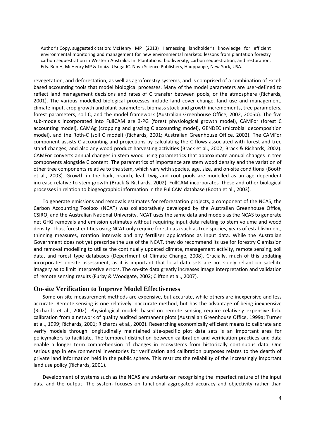revegetation, and deforestation, as well as agroforestry systems, and is comprised of a combination of Excelbased accounting tools that model biological processes. Many of the model parameters are user-defined to reflect land management decisions and rates of C transfer between pools, or the atmosphere (Richards, 2001). The various modelled biological processes include land cover change, land use and management, climate input, crop growth and plant parameters, biomass stock and growth incremements, tree parameters, forest parameters, soil C, and the model framework (Australian Greenhouse Office, 2002, 2005b). The five sub-models incorporated into FullCAM are 3-PG (forest physiological growth model), CAMFor (forest C accounting model), CAMAg (cropping and grazing C accounting model), GENDEC (microbial decomposition model), and the Roth-C (soil C model) (Richards, 2001; Australian Greenhouse Office, 2002). The CAMFor component assists C accounting and projections by calculating the C flows associated with forest and tree stand changes, and also any wood product harvesting activities (Brack et al., 2002; Brack & Richards, 2002). CAMFor converts annual changes in stem wood using parametrics that approximate annual changes in tree components alongside C content. The parametrics of importance are stem wood density and the variation of other tree components relative to the stem, which vary with species, age, size, and on-site conditions (Booth et al., 2003). Growth in the bark, branch, leaf, twig and root pools are modelled as an age dependent increase relative to stem growth (Brack & Richards, 2002). FullCAM incorporates these and other biological processes in relation to biogeographic information in the FullCAM database (Booth et al., 2003).

To generate emissions and removals estimates for reforestation projects, a component of the NCAS, the Carbon Accounting Toolbox (NCAT) was collaboratively developed by the Australian Greenhouse Office, CSIRO, and the Australian National University. NCAT uses the same data and models as the NCAS to generate net GHG removals and emission estimates without requiring input data relating to stem volume and wood density. Thus, forest entities using NCAT only require forest data such as tree species, years of establishment, thinning measures, rotation intervals and any fertiliser applications as input data. While the Australian Government does not yet prescribe the use of the NCAT, they do recommend its use for forestry C emission and removal modelling to utilise the continually updated climate, management activity, remote sensing, soil data, and forest type databases (Department of Climate Change, 2008). Crucially, much of this updating incorporates on-site assessment, as it is important that local data sets are not solely reliant on satellite imagery as to limit interpretive errors. The on-site data greatly increases image interpretation and validation of remote sensing results (Furby & Woodgate, 2002; Clifton et al., 2007).

#### **On-site Verification to Improve Model Effectiveness**

Some on-site measurement methods are expensive, but accurate, while others are inexpensive and less accurate. Remote sensing is one relatively inaccurate method, but has the advantage of being inexpensive (Richards et al., 2002). Physiological models based on remote sensing require relatively expensive field calibration from a network of quality audited permanent plots (Australian Greenhouse Office, 1999a; Turner et al., 1999; Richards, 2001; Richards et al., 2002). Researching economically efficient means to calibrate and verify models through longitudinally maintained site-specific plot data sets is an important area for policymakers to facilitate. The temporal distinction between calibration and verification practices and data enable a longer term comprehension of changes in ecosystems from historically continuous data. One serious gap in environmental inventories for verification and calibration purposes relates to the dearth of private land information held in the public sphere. This restricts the reliability of the increasingly important land use policy (Richards, 2001).

Development of systems such as the NCAS are undertaken recognising the imperfect nature of the input data and the output. The system focuses on functional aggregated accuracy and objectivity rather than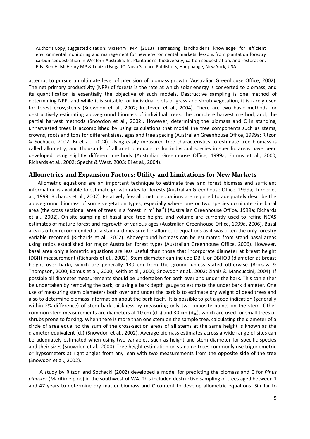attempt to pursue an ultimate level of precision of biomass growth (Australian Greenhouse Office, 2002). The net primary productivity (NPP) of forests is the rate at which solar energy is converted to biomass, and its quantification is essentially the objective of such models. Destructive sampling is one method of determining NPP, and while it is suitable for individual plots of grass and shrub vegetation, it is rarely used for forest ecosystems (Snowdon et al., 2002; Kesteven et al., 2004). There are two basic methods for destructively estimating aboveground biomass of individual trees: the complete harvest method, and; the partial harvest methods (Snowdon et al., 2002). However, determining the biomass and C in standing, unharvested trees is accomplished by using calculations that model the tree components such as stems, crowns, roots and tops for different sizes, ages and tree spacing (Australian Greenhouse Office, 1999a; Ritzon & Sochacki, 2002; Bi et al., 2004). Using easily measured tree characteristics to estimate tree biomass is called allometry, and thousands of allometric equations for individual species in specific areas have been developed using slightly different methods (Australian Greenhouse Office, 1999a; Eamus et al., 2000; Richards et al., 2002; Specht & West, 2003; Bi et al., 2004).

#### **Allometrics and Expansion Factors: Utility and Limitations for New Markets**

Allometric equations are an important technique to estimate tree and forest biomass and sufficient information is available to estimate growth rates for forests (Australian Greenhouse Office, 1999a; Turner et al., 1999; Richards et al., 2002). Relatively few allometric equations are required to adequately describe the aboveground biomass of some vegetation types, especially where one or two species dominate site basal area (the cross sectional area of trees in a forest in m<sup>2</sup> ha<sup>-1</sup>) (Australian Greenhouse Office, 1999a; Richards et al., 2002). On-site sampling of basal area tree height, and volume are currently used to refine NCAS estimates of mature forest and regrowth of various ages (Australian Greenhouse Office, 1999a, 2006). Basal area is often recommended as a standard measure for allometric equations as it was often the only forestry variable recorded (Richards et al., 2002). Aboveground biomass can be estimated from stand basal areas using ratios established for major Australian forest types (Australian Greenhouse Office, 2006). However, basal area only allometric equations are less useful than those that incorporate diameter at breast height (DBH) measurement (Richards et al., 2002). Stem diameter can include DBH, or DBHOB (diameter at breast height over bark), which are generally 130 cm from the ground unless stated otherwise (Brokaw & Thompson, 2000; Eamus et al., 2000; Keith et al., 2000; Snowdon et al., 2002; Zianis & Mancuccini, 2004). If possible all diameter measurements should be undertaken for both over and under the bark. This can either be undertaken by removing the bark, or using a bark depth gauge to estimate the under bark diameter. One use of measuring stem diameters both over and under the bark is to estimate dry weight of dead trees and also to determine biomass information about the bark itself. It is possible to get a good indication (generally within 2% difference) of stem bark thickness by measuring only two opposite points on the stem. Other common stem measurements are diameters at 10 cm ( $d_{10}$ ) and 30 cm ( $d_{30}$ ), which are used for small trees or shrubs prone to forking. When there is more than one stem on the sample tree, calculating the diameter of a circle of area equal to the sum of the cross-section areas of all stems at the same height is known as the diameter equivalent  $(d_e)$  (Snowdon et al., 2002). Average biomass estimates across a wide range of sites can be adequately estimated when using two variables, such as height and stem diameter for specific species and their sizes (Snowdon et al., 2000). Tree height estimation on standing trees commonly use trigonometric or hypsometers at right angles from any lean with two measurements from the opposite side of the tree (Snowdon et al., 2002).

A study by Ritzon and Sochacki (2002) developed a model for predicting the biomass and C for *Pinus pinaster* (Maritime pine) in the southwest of WA. This included destructive sampling of trees aged between 1 and 47 years to determine dry matter biomass and C content to develop allometric equations. Similar to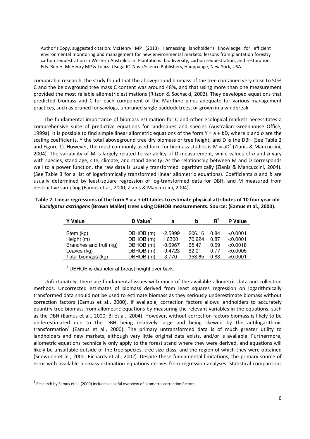comparable research, the study found that the aboveground biomass of the tree contained very close to 50% C and the belowground tree mass C content was around 48%, and that using more than one measurement provided the most reliable allometric estimations (Ritzon & Sochacki, 2002). They developed equations that predicted biomass and C for each component of the Maritime pines adequate for various management practices, such as pruned for sawlogs, unpruned single paddock trees, or grown in a windbreak.

The fundamental importance of biomass estimation for C and other ecological markets necessitates a comprehensive suite of predictive equations for landscapes and species (Australian Greenhouse Office, 1999a). It is possible to find simple linear allometric equations of the form Y = a + *b*D, where *a* and *b* are the scaling coefficients, Y the total aboveground tree dry biomass or tree height, and D is the DBH (See Table 2 and Figure 1). However, the most commonly used form for biomass studies is M = aD<sup>b</sup> (Zianis & Mancuccini, 2004). The variability of M is largely related to variability of D measurement, while values of *a* and *b* vary with species, stand age, site, climate, and stand density. As the relationship between M and D corresponds well to a power function, the raw data is usually transformed logarithmically (Zianis & Mancuccini, 2004). (See Table 3 for a list of logarithmically transformed linear allometric equations). Coefficients *a* and *b* are usually determined by least-square regression of log-transformed data for DBH, and M measured from destructive sampling (Eamus et al., 2000; Zianis & Mancuccini, 2004).

| Table 2. Linear regressions of the form $Y = a + bD$ tables to estimate physical attributes of 10 four year old |
|-----------------------------------------------------------------------------------------------------------------|
| Eucalyptus astringens (Brown Mallet) trees using DBHOB measurements. Source: (Eamus et al., 2000).              |

| <b>Y</b> Value          | D Value <sup>1</sup> | a         | b      | R    | P Value  |
|-------------------------|----------------------|-----------|--------|------|----------|
|                         |                      |           |        |      |          |
| Stem (kg)               | DBHOB (m)            | $-2.5999$ | 206.16 | 0.84 | < 0.0001 |
| Height (m)              | DBHOB (m)            | 1.6300    | 70.924 | 0.87 | < 0.0001 |
| Branches and fruit (kg) | DBHOB (m)            | $-0.6967$ | 65.47  | 0.69 | < 0.0018 |
| Leaves (kg)             | DBHOB (m)            | $-0.4723$ | 82.01  | 0.77 | < 0.0005 |
| Total biomass (kg)      | DBHOB (m)            | -3.770    | 353.65 | 0.83 | < 0.0001 |

<sup>1</sup> DBHOB is diameter at breast height over bark.

Unfortunately, there are fundamental issues with much of the available allometric data and collection methods. Uncorrected estimates of biomass derived from least squares regression on logarithmically transformed data should not be used to estimate biomass as they seriously underestimate biomass without correction factors (Eamus et al., 2000). If available, correction factors allows landholders to accurately quantify tree biomass from allometric equations by measuring the relevant variables in the equations, such as the DBH (Eamus et al., 2000; Bi et al., 2004). However, without correction factors biomass is likely to be underestimated due to the DBH being relatively large and being skewed by the antilogarithmic transformation<sup>1</sup> (Eamus et al., 2000). The primary untransformed data is of much greater utility to landholders and new markets, although very little original data exists, and/or is available. Furthermore, allometric equations technically only apply to the forest stand where they were derived, and equations will likely be unsuitable outside of the tree species, tree size class, and the region of which they were obtained (Snowdon et al., 2000; Richards et al., 2002). Despite these fundamental limitations, the primary source of error with available biomass estimation equations derives from regression analyses. Statistical comparisons

1

 $<sup>1</sup>$  Research by Eamus et al. (2000) includes a useful overview of allometric correction factors.</sup>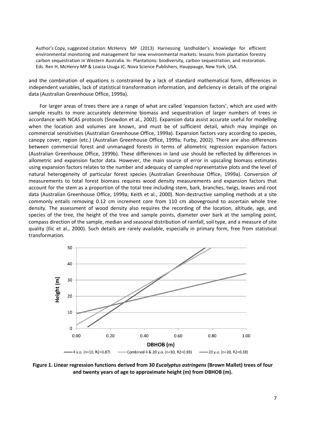and the combination of equations is constrained by a lack of standard mathematical form, differences in independent variables, lack of statistical transformation information, and deficiency in details of the original data (Australian Greenhouse Office, 1999a).

For larger areas of trees there are a range of what are called 'expansion factors', which are used with sample results to more accurately determine biomass and sequestration of larger numbers of trees in accordance with NCAS protocols (Snowdon et al., 2002). Expansion data assist accurate useful for modelling when the location and volumes are known, and must be of sufficient detail, which may impinge on commercial sensitivities (Australian Greenhouse Office, 1999a). Expansion factors vary according to species, canopy cover, region (etc.) (Australian Greenhouse Office, 1999a; Furby, 2002). There are also differences between commercial forest and unmanaged forests in terms of allometric regression expansion factors (Australian Greenhouse Office, 1999b). These differences in land use should be reflected by differences in allometric and expansion factor data. However, the main source of error in upscaling biomass estimates using expansion factors relates to the number and adequacy of sampled representative plots and the level of natural heterogeneity of particular forest species (Australian Greenhouse Office, 1999a). Conversion of measurements to total forest biomass requires wood density measurements and expansion factors that account for the stem as a proportion of the total tree including stem, bark, branches, twigs, leaves and root data (Australian Greenhouse Office, 1999a; Keith et al., 2000). Non-destructive sampling methods at a site commonly entails removing 0.12 cm increment core from 110 cm aboveground to ascertain whole tree density. The assessment of wood density also requires the recording of the location, altitude, age, and species of the tree, the height of the tree and sample points, diameter over bark at the sampling point, compass direction of the sample, median and seasonal distribution of rainfall, soil type, and a measure of site quality (Ilic et al., 2000). Such details are rarely available, especially in primary form, free from statistical transformation.



**Figure 1. Linear regression functions derived from 30** *Eucalyptus astringens* **(Brown Mallet) trees of four and twenty years of age to approximate height (m) from DBHOB (m).**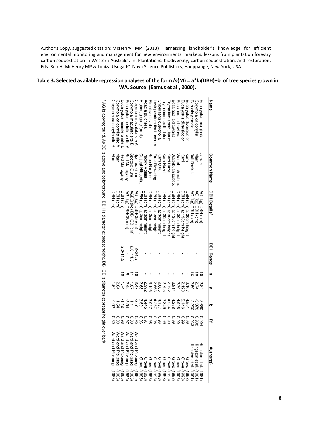#### **Table 3. Selected available regression analyses of the form** *ln***(M) = a\****ln***(DBH)+b of tree species grown in WA. Source: (Eamus et al., 2000).**

 $\overline{1}$ 

| Name                         | <b>Common Name</b>    | <b>DBH Details</b>                                                                                                        | <b>DBH Range</b> | 3 | ω                              | 0                              | 굇                    | Author(s)                                                                                                                                                                                                                                                                                                                                                                                                          |
|------------------------------|-----------------------|---------------------------------------------------------------------------------------------------------------------------|------------------|---|--------------------------------|--------------------------------|----------------------|--------------------------------------------------------------------------------------------------------------------------------------------------------------------------------------------------------------------------------------------------------------------------------------------------------------------------------------------------------------------------------------------------------------------|
|                              |                       |                                                                                                                           |                  |   |                                |                                |                      |                                                                                                                                                                                                                                                                                                                                                                                                                    |
| Eucalyptus marginata         | Jarrah                | RG<br>(kg) DBH<br>$f$ (cm)                                                                                                |                  |   |                                | -3.680                         | 0.994                | Hingston et al. (1981                                                                                                                                                                                                                                                                                                                                                                                              |
| Corymbia calophylla          | Marri                 | (kg) DBH (cm)                                                                                                             |                  |   | 2 2 2<br>2 2 2<br>2 2 2        | -3.370                         | 286'0                |                                                                                                                                                                                                                                                                                                                                                                                                                    |
| Banksia grandis              | Bull Banksia          | 99<br>(kg) DBH (cm)                                                                                                       |                  |   |                                | -2.260                         | 0.96                 | Hingston et al. (1981)<br>Hingston et al. (1981)<br>Grove (1998)                                                                                                                                                                                                                                                                                                                                                   |
| Eucalyptus diversicolor      | Karri                 | BH (cm) at 30cm height                                                                                                    |                  |   |                                |                                | 66.0                 |                                                                                                                                                                                                                                                                                                                                                                                                                    |
| Eucalyptus diversicolor      | Karri                 | (cm) at 130cm height                                                                                                      |                  |   |                                | 4.501<br>5.146<br>4.998        | 66.0                 |                                                                                                                                                                                                                                                                                                                                                                                                                    |
| Bossiaea laidlawiana         | Waterbush subsp       | (cm) at 30cm height                                                                                                       |                  |   |                                |                                |                      |                                                                                                                                                                                                                                                                                                                                                                                                                    |
| Bossiaea laidlawiana         | Waterbush subsp       | (cm) at 130cm heigh                                                                                                       |                  |   |                                | 4.268                          |                      |                                                                                                                                                                                                                                                                                                                                                                                                                    |
| rymalium spathulatum         | √arri Hazel           | 应<br>(un)<br>) at 30cm height                                                                                             |                  |   |                                |                                |                      |                                                                                                                                                                                                                                                                                                                                                                                                                    |
| rymalium spathulatum         | Karri Haze            | ₫<br>(cm) at 30cm height                                                                                                  |                  |   | 212222222<br>12222222<br>22222 | 4.284<br>3.849<br>4.187        | 0:00<br>0:00<br>0:00 |                                                                                                                                                                                                                                                                                                                                                                                                                    |
| Chlorilaena quercitolia      | Karri Oak             | (cm) at 3cm height                                                                                                        |                  |   | 2.665                          |                                | 96.0                 |                                                                                                                                                                                                                                                                                                                                                                                                                    |
| asiopetalum floribundum      | <b>Free Flowering</b> | (cm) at 3cm height                                                                                                        |                  |   | 2.663                          | 4.267                          | 0.98                 |                                                                                                                                                                                                                                                                                                                                                                                                                    |
| Imelea clavata               | Rope Banjine          | 贡<br>(cm) at 3cm heigh                                                                                                    |                  |   | 3.146                          | 3.027                          | 0.98                 |                                                                                                                                                                                                                                                                                                                                                                                                                    |
| Acacia pulchella             | Prickly Moses         | PBH (cm) at 3cm height                                                                                                    |                  |   | 2.992                          | 4.445                          | <b>26.0</b>          |                                                                                                                                                                                                                                                                                                                                                                                                                    |
| Hibbertia cuneiformis        | Cutleat Hibbertia     | <b>/BH</b> (cm) at 3cm height                                                                                             |                  |   | 2.681                          | 3.591                          | 0.93                 |                                                                                                                                                                                                                                                                                                                                                                                                                    |
| Corymbia maculata site A     | Spotted Gum           | AG (kg) DBHOB (cm)                                                                                                        | 2-24.5           |   | 2.47                           | $\frac{1}{2}$ is $\frac{1}{2}$ | 0.95<br>0.98         | Ward and Pickersgill<br>$\begin{array}{l} \text{Gerove} \; (1998) \\ \text{Gerove} \; (1998) \\ \text{Gerove} \; (1998) \\ \text{Gerove} \; (1998) \\ \text{Gerove} \; (1998) \\ \text{Gerove} \; (1998) \\ \text{Gerove} \; (1998) \\ \text{Gerove} \; (1998) \\ \text{Gerove} \; (1998) \\ \text{Gerove} \; (1998) \\ \text{Gerove} \; (1998) \\ \text{Gerove} \; (1998) \\ \text{Grezo} \; (1998) \\ \text{Gre$ |
| Corymbia maculata site B     | Spotted Gum           | A&BG (kg) DBHOB (cm)                                                                                                      | 2.0-11.5         |   | $^{18}$                        |                                |                      |                                                                                                                                                                                                                                                                                                                                                                                                                    |
| Eucalyptus resinitera site A | Red Mahogany          | AG (kg) DBHOB (cm)                                                                                                        |                  |   | 2.44                           | -2.54                          | <b>2.97</b>          |                                                                                                                                                                                                                                                                                                                                                                                                                    |
| Eucalyptus resinifera site   | Red Mahogany          | DBH (cm)                                                                                                                  | 2.0-11.5         |   | 1.74                           | $0 - 1$<br>$0 - 2$<br>$0 - 3$  | 0.98<br>0.99         | Ward and Pickersgill (1985;<br>Ward and Pickersgill (1985;<br>Ward and Pickersgill (1985;                                                                                                                                                                                                                                                                                                                          |
| Corymbia calophylla site     | Marri                 | DBH (cm                                                                                                                   |                  |   | 2.04                           |                                |                      | Ward and Pickersgill (1985                                                                                                                                                                                                                                                                                                                                                                                         |
| Corymbia calophylla site     | Marri                 | DBH<br>(cm                                                                                                                |                  |   | $-64$                          |                                | 680                  | Ward and Pickersgill (1985                                                                                                                                                                                                                                                                                                                                                                                         |
|                              |                       | AG is aboveground, A&BG is above and belowground, DBH is diameter at breast height, DBHOB is diameter at breast height ov |                  |   |                                |                                |                      | er bark.                                                                                                                                                                                                                                                                                                                                                                                                           |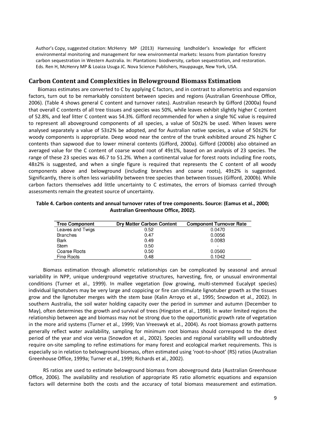#### **Carbon Content and Complexities in Belowground Biomass Estimation**

Biomass estimates are converted to C by applying C factors, and in contrast to allometrics and expansion factors, turn out to be remarkably consistent between species and regions (Australian Greenhouse Office, 2006). (Table 4 shows general C content and turnover rates). Australian research by Gifford (2000a) found that overall C contents of all tree tissues and species was 50%, while leaves exhibit slightly higher C content of 52.8%, and leaf litter C content was 54.3%. Gifford recommended for when a single %C value is required to represent all aboveground components of all species, a value of 50±2% be used. When leaves were analysed separately a value of 53±2% be adopted, and for Australian native species, a value of 50±2% for woody components is appropriate. Deep wood near the centre of the trunk exhibited around 2% higher C contents than sapwood due to lower mineral contents (Gifford, 2000a). Gifford (2000b) also obtained an averaged value for the C content of coarse wood root of 49±1%, based on an analysis of 23 species. The range of these 23 species was 46.7 to 51.2%. When a continental value for forest roots including fine roots, 48±2% is suggested, and when a single figure is required that represents the C content of all woody components above and belowground (including branches and coarse roots), 49±2% is suggested. Significantly, there is often less variability between tree species than between tissues (Gifford, 2000b). While carbon factors themselves add little uncertainty to C estimates, the errors of biomass carried through assessments remain the greatest source of uncertainty.

| Table 4. Carbon contents and annual turnover rates of tree components. Source: (Eamus et al., 2000; |
|-----------------------------------------------------------------------------------------------------|
| Australian Greenhouse Office, 2002).                                                                |

| <b>Tree Component</b> | <b>Dry Matter Carbon Content</b> | <b>Component Turnover Rate</b> |
|-----------------------|----------------------------------|--------------------------------|
| Leaves and Twigs      | 0.52                             | 0.0470                         |
| <b>Branches</b>       | 0.47                             | 0.0056                         |
| Bark                  | 0.49                             | 0.0083                         |
| Stem                  | 0.50                             | -                              |
| Coarse Roots          | 0.50                             | 0.0560                         |
| Fine Roots            | 0.48                             | 0.1042                         |

Biomass estimation through allometric relationships can be complicated by seasonal and annual variability in NPP, unique underground vegetative structures, harvesting, fire, or unusual environmental conditions (Turner et al., 1999). In mallee vegetation (low growing, multi-stemmed Eucalypt species) individual lignotubers may be very large and coppicing or fire can stimulate lignotuber growth as the tissues grow and the lignotuber merges with the stem base (Kalin Arroyo et al., 1995; Snowdon et al., 2002). In southern Australia, the soil water holding capacity over the period in summer and autumn (December to May), often determines the growth and survival of trees (Hingston et al., 1998). In water limited regions the relationship between age and biomass may not be strong due to the opportunistic growth rate of vegetation in the more arid systems (Turner et al., 1999; Van Vreeswyk et al., 2004). As root biomass growth patterns generally reflect water availability, sampling for minimum root biomass should correspond to the driest period of the year and vice versa (Snowdon et al., 2002). Species and regional variability will undoubtedly require on-site sampling to refine estimations for many forest and ecological market requirements. This is especially so in relation to belowground biomass, often estimated using 'root-to-shoot' (RS) ratios (Australian Greenhouse Office, 1999a; Turner et al., 1999; Richards et al., 2002).

RS ratios are used to estimate belowground biomass from aboveground data (Australian Greenhouse Office, 2006). The availability and resolution of appropriate RS ratio allometric equations and expansion factors will determine both the costs and the accuracy of total biomass measurement and estimation.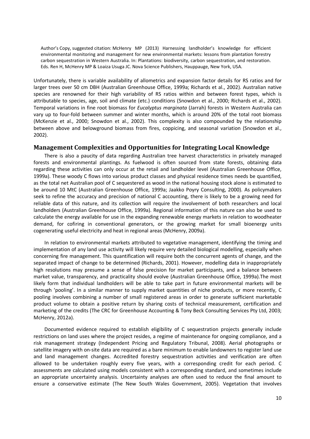Unfortunately, there is variable availability of allometrics and expansion factor details for RS ratios and for larger trees over 50 cm DBH (Australian Greenhouse Office, 1999a; Richards et al., 2002). Australian native species are renowned for their high variability of RS ratios within and between forest types, which is attributable to species, age, soil and climate (etc.) conditions (Snowdon et al., 2000; Richards et al., 2002). Temporal variations in fine root biomass for *Eucalyptus marginata* (Jarrah) forests in Western Australia can vary up to four-fold between summer and winter months, which is around 20% of the total root biomass (McKenzie et al., 2000; Snowdon et al., 2002). This complexity is also compounded by the relationship between above and belowground biomass from fires, coppicing, and seasonal variation (Snowdon et al., 2002).

#### **Management Complexities and Opportunities for Integrating Local Knowledge**

There is also a paucity of data regarding Australian tree harvest characteristics in privately managed forests and environmental plantings. As fuelwood is often sourced from state forests, obtaining data regarding these activities can only occur at the retail and landholder level (Australian Greenhouse Office, 1999a). These woody C flows into various product classes and physical residence times needs be quantified, as the total net Australian pool of C sequestered as wood in the national housing stock alone is estimated to be around 10 MtC (Australian Greenhouse Office, 1999a; Jaakko Poyry Consulting, 2000). As policymakers seek to refine the accuracy and precision of national C accounting, there is likely to be a growing need for reliable data of this nature, and its collection will require the involvement of both researchers and local landholders (Australian Greenhouse Office, 1999a). Regional information of this nature can also be used to calculate the energy available for use in the expanding renewable energy markets in relation to woodheater demand, for cofiring in conventional generators, or the growing market for small bioenergy units cogenerating useful electricity and heat in regional areas (McHenry, 2009a).

In relation to environmental markets attributed to vegetative management, identifying the timing and implementation of any land use activity will likely require very detailed biological modelling, especially when concerning fire management. This quantification will require both the concurrent agents of change, and the separated impact of change to be determined (Richards, 2001). However, modelling data in inappropriately high resolutions may presume a sense of false precision for market participants, and a balance between market value, transparency, and practicality should evolve (Australian Greenhouse Office, 1999a).The most likely form that individual landholders will be able to take part in future environmental markets will be through 'pooling'. In a similar manner to supply market quantities of niche products, or more recently, C pooling involves combining a number of small registered areas in order to generate sufficient marketable product volume to obtain a positive return by sharing costs of technical measurement, certification and marketing of the credits (The CRC for Greenhouse Accounting & Tony Beck Consulting Services Pty Ltd, 2003; McHenry, 2012a).

Documented evidence required to establish eligibility of C sequestration projects generally include restrictions on land uses where the project resides, a regime of maintenance for ongoing compliance, and a risk management strategy (Independent Pricing and Regulatory Tribunal, 2008). Aerial photographs or satellite imagery with on-site data are required as a bare minimum to enable landowners to register land use and land management changes. Accredited forestry sequestration activities and verification are often allowed to be undertaken roughly every five years, with a corresponding credit for each period. C assessments are calculated using models consistent with a corresponding standard, and sometimes include an appropriate uncertainty analysis. Uncertainty analyses are often used to reduce the final amount to ensure a conservative estimate (The New South Wales Government, 2005). Vegetation that involves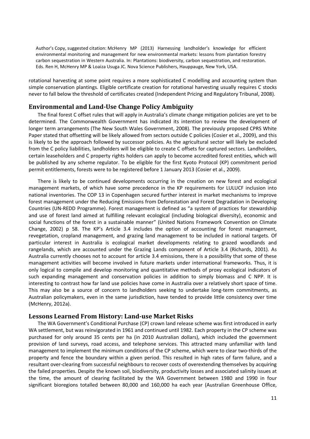rotational harvesting at some point requires a more sophisticated C modelling and accounting system than simple conservation plantings. Eligible certificate creation for rotational harvesting usually requires C stocks never to fall below the threshold of certificates created (Independent Pricing and Regulatory Tribunal, 2008).

#### **Environmental and Land-Use Change Policy Ambiguity**

The final forest C offset rules that will apply in Australia's climate change mitigation policies are yet to be determined. The Commonwealth Government has indicated its intention to review the development of longer term arrangements (The New South Wales Government, 2008). The previously proposed CPRS White Paper stated that offsetting will be likely allowed from sectors outside C policies (Cosier et al., 2009), and this is likely to be the approach followed by successor policies. As the agricultural sector will likely be excluded from the C policy liabilities, landholders will be eligible to create C offsets for captured sectors. Landholders, certain leaseholders and C property rights holders can apply to become accredited forest entities, which will be published by any scheme regulator. To be eligible for the first Kyoto Protocol (KP) commitment period permit entitlements, forests were to be registered before 1 January 2013 (Cosier et al., 2009).

There is likely to be continued developments occurring in the creation on new forest and ecological management markets, of which have some precedence in the KP requirements for LULUCF inclusion into national inventories. The COP 13 in Copenhagen secured further interest in market mechanisms to improve forest management under the Reducing Emissions from Deforestation and Forest Degradation in Developing Countries (UN-REDD Programme). Forest management is defined as "a system of practices for stewardship and use of forest land aimed at fulfilling relevant ecological (including biological diversity), economic and social functions of the forest in a sustainable manner" (United Nations Framework Convention on Climate Change, 2002) p 58. The KP's Article 3.4 includes the option of accounting for forest management, revegetation, cropland management, and grazing land management to be included in national targets. Of particular interest in Australia is ecological market developments relating to grazed woodlands and rangelands, which are accounted under the Grazing Lands component of Article 3.4 (Richards, 2001). As Australia currently chooses not to account for article 3.4 emissions, there is a possibility that some of these management activities will become involved in future markets under international frameworks. Thus, it is only logical to compile and develop monitoring and quantitative methods of proxy ecological indicators of such expanding management and conservation policies in addition to simply biomass and C NPP. It is interesting to contrast how far land use policies have come in Australia over a relatively short space of time. This may also be a source of concern to landholders seeking to undertake long-term commitments, as Australian policymakers, even in the same jurisdiction, have tended to provide little consistency over time (McHenry, 2012a).

#### **Lessons Learned From History: Land-use Market Risks**

The WA Government's Conditional Purchase (CP) crown land release scheme was first introduced in early WA settlement, but was reinvigorated in 1961 and continued until 1982. Each property in the CP scheme was purchased for only around 35 cents per ha (in 2010 Australian dollars), which included the government provision of land surveys, road access, and telephone services. This attracted many unfamiliar with land management to implement the minimum conditions of the CP scheme, which were to clear two-thirds of the property and fence the boundary within a given period. This resulted in high rates of farm failure, and a resultant over-clearing from successful neighbours to recover costs of overextending themselves by acquiring the failed properties. Despite the known soil, biodiversity, productivity losses and associated salinity issues at the time, the amount of clearing facilitated by the WA Government between 1980 and 1990 in four significant bioregions totalled between 80,000 and 160,000 ha each year (Australian Greenhouse Office,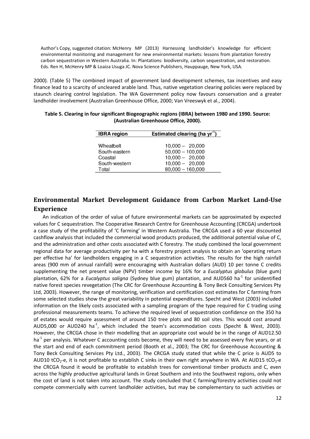2000). (Table 5) The combined impact of government land development schemes, tax incentives and easy finance lead to a scarcity of uncleared arable land. Thus, native vegetation clearing policies were replaced by staunch clearing control legislation. The WA Government policy now favours conservation and a greater landholder involvement (Australian Greenhouse Office, 2000; Van Vreeswyk et al., 2004).

| <b>IBRA</b> region | Estimated clearing (ha yr <sup>-1</sup> ) |
|--------------------|-------------------------------------------|
|                    |                                           |
| Wheatbelt          | $10,000 - 20,000$                         |
| South-eastern      | $50,000 - 100,000$                        |
| Coastal            | $10,000 - 20,000$                         |
| South-western      | $10,000 - 20,000$                         |
| Total              | $80,000 - 160,000$                        |

| Table 5. Clearing in four significant Biogeographic regions (IBRA) between 1980 and 1990. Source: |
|---------------------------------------------------------------------------------------------------|
| (Australian Greenhouse Office, 2000).                                                             |

### **Environmental Market Development Guidance from Carbon Market Land-Use Experience**

An indication of the order of value of future environmental markets can be approximated by expected values for C sequestration. The Cooperative Research Centre for Greenhouse Accounting (CRCGA) undertook a case study of the profitability of 'C farming' in Western Australia. The CRCGA used a 60 year discounted cashflow analysis that included the commercial wood products produced, the additional potential value of C, and the administration and other costs associated with C forestry. The study combined the local government regional data for average productivity per ha with a forestry project analysis to obtain an 'operating return per effective ha' for landholders engaging in a C sequestration activities. The results for the high rainfall areas (900 mm of annual rainfall) were encouraging with Australian dollars (AUD) 10 per tonne C credits supplementing the net present value (NPV) timber income by 16% for a *Eucalyptus globulus* (blue gum) plantation, 62% for a *Eucalyptus saligna* (Sydney blue gum) plantation, and AUD560 ha<sup>-1</sup> for unidentified native forest species revegetation (The CRC for Greenhouse Accounting & Tony Beck Consulting Services Pty Ltd, 2003). However, the range of monitoring, verification and certification cost estimates for C farming from some selected studies show the great variability in potential expenditures. Specht and West (2003) included information on the likely costs associated with a sampling program of the type required for C trading using professional measurements teams. To achieve the required level of sequestration confidence on the 350 ha of estates would require assessment of around 150 tree plots and 80 soil sites. This would cost around AUD5,000 or AUD240 ha<sup>-1</sup>, which included the team's accommodation costs (Specht & West, 2003). However, the CRCGA chose in their modelling that an appropriate cost would be in the range of AUD12.50 ha<sup>-1</sup> per analysis. Whatever C accounting costs become, they will need to be assessed every five years, or at the start and end of each commitment period (Booth et al., 2003; The CRC for Greenhouse Accounting & Tony Beck Consulting Services Pty Ltd., 2003). The CRCGA study stated that while the C price is AUD5 to AUD10 tCO<sub>2</sub>-e, it is not profitable to establish C sinks in their own right anywhere in WA. At AUD15 tCO<sub>2</sub>-e the CRCGA found it would be profitable to establish trees for conventional timber products and C, even across the highly productive agricultural lands in Great Southern and into the Southwest regions, only when the cost of land is not taken into account. The study concluded that C farming/forestry activities could not compete commercially with current landholder activities, but may be complementary to such activities or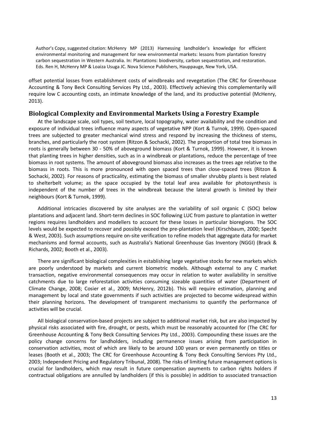offset potential losses from establishment costs of windbreaks and revegetation (The CRC for Greenhouse Accounting & Tony Beck Consulting Services Pty Ltd., 2003). Effectively achieving this complementarily will require low C accounting costs, an intimate knowledge of the land, and its productive potential (McHenry, 2013).

#### **Biological Complexity and Environmental Markets Using a Forestry Example**

At the landscape scale, soil types, soil texture, local topography, water availability and the condition and exposure of individual trees influence many aspects of vegetative NPP (Kort & Turnok, 1999). Open-spaced trees are subjected to greater mechanical wind stress and respond by increasing the thickness of stems, branches, and particularly the root system (Ritzon & Sochacki, 2002). The proportion of total tree biomass in roots is generally between 30 - 50% of aboveground biomass (Kort & Turnok, 1999). However, it is known that planting trees in higher densities, such as in a windbreak or plantations, reduce the percentage of tree biomass in root systems. The amount of aboveground biomass also increases as the trees age relative to the biomass in roots. This is more pronounced with open spaced trees than close-spaced trees (Ritzon & Sochacki, 2002). For reasons of practicality, estimating the biomass of smaller shrubby plants is best related to shelterbelt volume; as the space occupied by the total leaf area available for photosynthesis is independent of the number of trees in the windbreak because the lateral growth is limited by their neighbours (Kort & Turnok, 1999).

Additional intricacies discovered by site analyses are the variability of soil organic C (SOC) below plantations and adjacent land. Short-term declines in SOC following LUC from pasture to plantation in wetter regions requires landholders and modellers to account for these losses in particular bioregions. The SOC levels would be expected to recover and possibly exceed the pre-plantation level (Kirschbaum, 2000; Specht & West, 2003). Such assumptions require on-site verification to refine models that aggregate data for market mechanisms and formal accounts, such as Australia's National Greenhouse Gas Inventory (NGGI) (Brack & Richards, 2002; Booth et al., 2003).

There are significant biological complexities in establishing large vegetative stocks for new markets which are poorly understood by markets and current biometric models. Although external to any C market transaction, negative environmental consequences may occur in relation to water availability in sensitive catchments due to large reforestation activities consuming sizeable quantities of water (Department of Climate Change, 2008; Cosier et al., 2009; McHenry, 2012b). This will require estimation, planning and management by local and state governments if such activities are projected to become widespread within their planning horizons. The development of transparent mechanisms to quantify the performance of activities will be crucial.

All biological conservation-based projects are subject to additional market risk, but are also impacted by physical risks associated with fire, drought, or pests, which must be reasonably accounted for (The CRC for Greenhouse Accounting & Tony Beck Consulting Services Pty Ltd., 2003). Compounding these issues are the policy change concerns for landholders, including permanence issues arising from participation in conservation activities, most of which are likely to be around 100 years or even permanently on titles or leases (Booth et al., 2003; The CRC for Greenhouse Accounting & Tony Beck Consulting Services Pty Ltd., 2003; Independent Pricing and Regulatory Tribunal, 2008). The risks of limiting future management options is crucial for landholders, which may result in future compensation payments to carbon rights holders if contractual obligations are annulled by landholders (if this is possible) in addition to associated transaction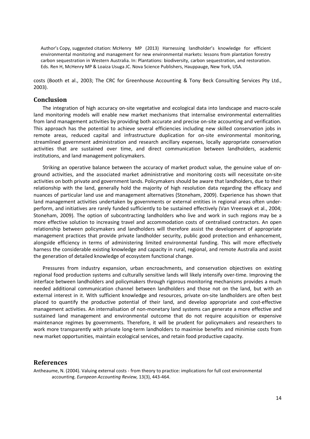costs (Booth et al., 2003; The CRC for Greenhouse Accounting & Tony Beck Consulting Services Pty Ltd., 2003).

#### **Conclusion**

The integration of high accuracy on-site vegetative and ecological data into landscape and macro-scale land monitoring models will enable new market mechanisms that internalise environmental externalities from land management activities by providing both accurate and precise on-site accounting and verification. This approach has the potential to achieve several efficiencies including new skilled conservation jobs in remote areas, reduced capital and infrastructure duplication for on-site environmental monitoring, streamlined government administration and research ancillary expenses, locally appropriate conservation activities that are sustained over time, and direct communication between landholders, academic institutions, and land management policymakers.

Striking an operative balance between the accuracy of market product value, the genuine value of onground activities, and the associated market administrative and monitoring costs will necessitate on-site activities on both private and government lands. Policymakers should be aware that landholders, due to their relationship with the land, generally hold the majority of high resolution data regarding the efficacy and nuances of particular land use and management alternatives (Stoneham, 2009). Experience has shown that land management activities undertaken by governments or external entities in regional areas often underperform, and initiatives are rarely funded sufficiently to be sustained effectively (Van Vreeswyk et al., 2004; Stoneham, 2009). The option of subcontracting landholders who live and work in such regions may be a more effective solution to increasing travel and accommodation costs of centralised contractors. An open relationship between policymakers and landholders will therefore assist the development of appropriate management practices that provide private landholder security, public good protection and enhancement, alongside efficiency in terms of administering limited environmental funding. This will more effectively harness the considerable existing knowledge and capacity in rural, regional, and remote Australia and assist the generation of detailed knowledge of ecosystem functional change.

Pressures from industry expansion, urban encroachments, and conservation objectives on existing regional food production systems and culturally sensitive lands will likely intensify over-time. Improving the interface between landholders and policymakers through rigorous monitoring mechanisms provides a much needed additional communication channel between landholders and those not on the land, but with an external interest in it. With sufficient knowledge and resources, private on-site landholders are often best placed to quantify the productive potential of their land, and develop appropriate and cost-effective management activities. An internalisation of non-monetary land systems can generate a more effective and sustained land management and environmental outcome that do not require acquisition or expensive maintenance regimes by governments. Therefore, it will be prudent for policymakers and researchers to work more transparently with private long-term landholders to maximise benefits and minimise costs from new market opportunities, maintain ecological services, and retain food productive capacity.

#### **References**

Antheaume, N. (2004). Valuing external costs - from theory to practice: implications for full cost environmental accounting. *European Accounting Review,* 13(3), 443-464.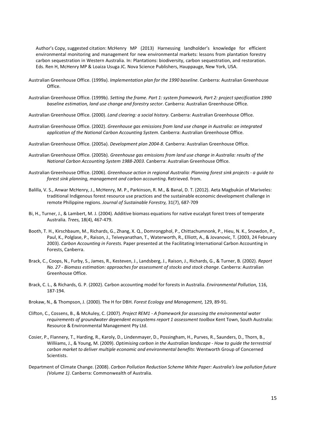- Australian Greenhouse Office. (1999a). *Implementation plan for the 1990 baseline*. Canberra: Australian Greenhouse Office.
- Australian Greenhouse Office. (1999b). *Setting the frame. Part 1: system framework, Part 2: project specification 1990 baseline estimation, land use change and forestry sector*. Canberra: Australian Greenhouse Office.
- Australian Greenhouse Office. (2000). *Land clearing: a social history*. Canberra: Australian Greenhouse Office.
- Australian Greenhouse Office. (2002). *Greenhouse gas emissions from land use change in Australia: an integrated application of the National Carbon Accounting System*. Canberra: Australian Greenhouse Office.
- Australian Greenhouse Office. (2005a). *Development plan 2004-8*. Canberra: Australian Greenhouse Office.
- Australian Greenhouse Office. (2005b). *Greenhouse gas emissions from land use change in Australia: results of the National Carbon Accounting System 1988-2003.* Canberra: Australian Greenhouse Office.
- Australian Greenhouse Office. (2006). *Greenhouse action in regional Australia: Planning forest sink projects a guide to forest sink planning, management and carbon accounting*. Retrieved. from.
- Balilla, V. S., Anwar McHenry, J., McHenry, M. P., Parkinson, R. M., & Banal, D. T. (2012). Aeta Magbukún of Mariveles: traditional Indigenous forest resource use practices and the sustainable economic development challenge in remote Philippine regions. *Journal of Sustainable Forestry,* 31(7), 687-709
- Bi, H., Turner, J., & Lambert, M. J. (2004). Additive biomass equations for native eucalypt forest trees of temperate Australia. *Trees,* 18(4), 467-479.
- Booth, T. H., Kirschbaum, M., Richards, G., Zhang, X. Q., Domrongphol, P., Chittachumnonk, P., Hieu, N. K., Snowdon, P., Paul, K., Polglase, P., Raison, J., Teiveyanathan, T., Waterworth, R., Elliott, A., & Jovanovic, T. (2003, 24 February 2003). *Carbon Accounting in Forests.* Paper presented at the Facilitating International Carbon Accounting in Forests, Canberra.
- Brack, C., Coops, N., Furby, S., James, R., Kesteven, J., Landsberg, J., Raison, J., Richards, G., & Turner, B. (2002). *Report No. 27 - Biomass estimation: approaches for assessment of stocks and stock change*. Canberra: Australian Greenhouse Office.
- Brack, C. L., & Richards, G. P. (2002). Carbon accounting model for forests in Australia. *Environmental Pollution,* 116, 187-194.
- Brokaw, N., & Thompson, J. (2000). The H for DBH. *Forest Ecology and Management,* 129, 89-91.
- Clifton, C., Cossens, B., & McAuley, C. (2007). *Project REM1 A framework for assessing the environmental water*  requirements of groundwater dependent ecosystems report 1 assessment toolbox Kent Town, South Australia: Resource & Environmental Management Pty Ltd.
- Cosier, P., Flannery, T., Harding, R., Karoly, D., Lindenmayer, D., Possingham, H., Purves, R., Saunders, D., Thorn, B., Williiams, J., & Young, M. (2009). *Optimising carbon in the Australian landscape - How to guide the terrestrial carbon market to deliver multiple economic and environmental benefits*: Wentworth Group of Concerned Scientists.
- Department of Climate Change. (2008). *Carbon Pollution Reduction Scheme White Paper: Australia's low pollution future (Volume 1)*. Canberra: Commonwealth of Australia.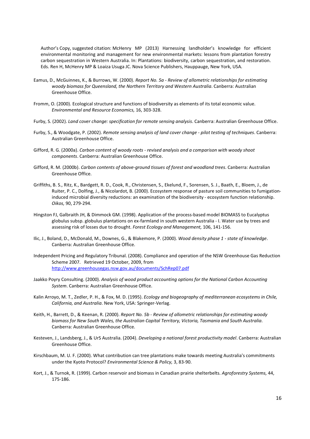- Eamus, D., McGuinnes, K., & Burrows, W. (2000). *Report No. 5a Review of allometric relationships for estimating woody biomass for Queensland, the Northern Territory and Western Australia*. Canberra: Australian Greenhouse Office.
- Fromm, O. (2000). Ecological structure and functions of biodiversity as elements of its total economic value. *Environmental and Resource Economics,* 16, 303-328.
- Furby, S. (2002). *Land cover change: specification for remote sensing analysis*. Canberra: Australian Greenhouse Office.
- Furby, S., & Woodgate, P. (2002). *Remote sensing analysis of land cover change pilot testing of techniques*. Canberra: Australian Greenhouse Office.
- Gifford, R. G. (2000a). *Carbon content of woody roots revised analysis and a comparison with woody shoot components*. Canberra: Australian Greenhouse Office.
- Gifford, R. M. (2000b). *Carbon contents of above-ground tissues of forest and woodland trees*. Canberra: Australian Greenhouse Office.
- Griffiths, B. S., Ritz, K., Bardgett, R. D., Cook, R., Christensen, S., Ekelund, F., Sorensen, S. J., Baath, E., Bloem, J., de Ruiter, P. C., Dolfing, J., & Nicolardot, B. (2000). Ecosystem response of pasture soil communities to fumigationinduced microbial diversity reductions: an examination of the biodiversity - ecosystem function relationship. *Oikos,* 90, 279-294.
- Hingston FJ, Galbraith JH, & Dimmock GM. (1998). Application of the process-based model BIOMASS to Eucalyptus globulus subsp. globulus plantations on ex-farmland in south western Australia - I. Water use by trees and assessing risk of losses due to drought. *Forest Ecology and Management,* 106, 141-156.
- Ilic, J., Boland, D., McDonald, M., Downes, G., & Blakemore, P. (2000). *Wood density phase 1 state of knowledge*. Canberra: Australian Greenhouse Office.
- Independent Pricing and Regulatory Tribunal. (2008). Compliance and operation of the NSW Greenhouse Gas Reduction Scheme 2007. Retrieved 19 October, 2009, from http://www.greenhousegas.nsw.gov.au/documents/SchRep07.pdf
- Jaakko Poyry Consulting. (2000). *Analysis of wood product accounting options for the National Carbon Accounting System*. Canberra: Australian Greenhouse Office.
- Kalin Arroyo, M. T., Zedler, P. H., & Fox, M. D. (1995). *Ecology and biogeography of mediterranean ecosystems in Chile, California, and Australia*. New York, USA: Springer-Verlag.
- Keith, H., Barrett, D., & Keenan, R. (2000). *Report No. 5b Review of allometric relationships for estimating woody biomass for New South Wales, the Australian Capital Territory, Victoria, Tasmania and South Australia*. Canberra: Australian Greenhouse Office.
- Kesteven, J., Landsberg, J., & UrS Australia. (2004). *Developing a national forest productivity model*. Canberra: Australian Greenhouse Office.
- Kirschbaum, M. U. F. (2000). What contribution can tree plantations make towards meeting Australia's commitments under the Kyoto Protocol? *Environmental Science & Policy,* 3, 83-90.
- Kort, J., & Turnok, R. (1999). Carbon reservoir and biomass in Canadian prairie shelterbelts. *Agroforestry Systems,* 44, 175-186.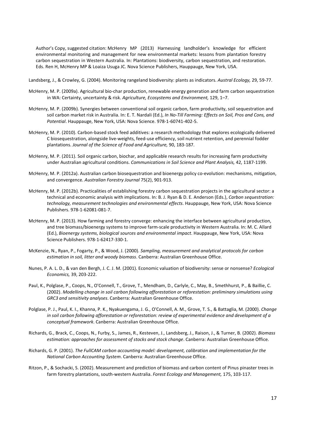Landsberg, J., & Crowley, G. (2004). Monitoring rangeland biodiversity: plants as indicators. *Austral Ecology,* 29, 59-77.

- McHenry, M. P. (2009a). Agricultural bio-char production, renewable energy generation and farm carbon sequestration in WA: Certainty, uncertainty & risk. *Agriculture, Ecosystems and Environment,* 129, 1–7.
- McHenry, M. P. (2009b). Synergies between conventional soil organic carbon, farm productivity, soil sequestration and soil carbon market risk in Australia. In: E. T. Nardali (Ed.), *In No-Till Farming: Effects on Soil, Pros and Cons, and Potential*. Hauppauge, New York, USA: Nova Science. 978-1-60741-402-5.
- McHenry, M. P. (2010). Carbon-based stock feed additives: a research methodology that explores ecologically delivered C biosequestration, alongside live-weights, feed-use efficiency, soil nutrient retention, and perennial fodder plantations. *Journal of the Science of Food and Agriculture,* 90, 183-187.
- McHenry, M. P. (2011). Soil organic carbon, biochar, and applicable research results for increasing farm productivity under Australian agricultural conditions. *Communications in Soil Science and Plant Analysis,* 42, 1187-1199.
- McHenry, M. P. (2012a). Australian carbon biosequestration and bioenergy policy co-evolution: mechanisms, mitigation, and convergence. *Australian Forestry Journal* 75(2), 901-913.
- McHenry, M. P. (2012b). Practicalities of establishing forestry carbon sequestration projects in the agricultural sector: a technical and economic analysis with implications. In: B. J. Ryan & D. E. Anderson (Eds.), *Carbon sequestration: technology, measurement technologies and environmental effects*. Hauppauge, New York, USA: Nova Science Publishers. 978-1-62081-081-7.
- McHenry, M. P. (2013). How farming and forestry converge: enhancing the interface between agricultural production, and tree biomass/bioenergy systems to improve farm-scale productivity in Western Australia. In: M. C. Allard (Ed.), *Bioenergy systems, biological sources and environmental impact*. Hauppauge, New York, USA: Nova Science Publishers. 978-1-62417-330-1.
- McKenzie, N., Ryan, P., Fogarty, P., & Wood, J. (2000). *Sampling, measurement and analytical protocols for carbon estimation in soil, litter and woody biomass*. Canberra: Australian Greenhouse Office.
- Nunes, P. A. L. D., & van den Bergh, J. C. J. M. (2001). Economic valuation of biodiversity: sense or nonsense? *Ecological Economics,* 39, 203-222.
- Paul, K., Polglase, P., Coops, N., O'Connell, T., Grove, T., Mendham, D., Carlyle, C., May, B., Smethhurst, P., & Baillie, C. (2002). *Modelling change in soil carbon following afforestation or reforestation: preliminary simulations using GRC3 and sensitivity analyses*. Canberra: Australian Greenhouse Office.
- Polglase, P. J., Paul, K. I., Khanna, P. K., Nyakuengama, J. G., O'Connell, A. M., Grove, T. S., & Battaglia, M. (2000). *Change in soil carbon following afforestation or reforestation: review of experimental evidence and development of a conceptual framework*. Canberra: Australian Greenhouse Office.
- Richards, G., Brack, C., Coops, N., Furby, S., James, R., Kesteven, J., Landsberg, J., Raison, J., & Turner, B. (2002). *Biomass estimation: approaches for assessment of stocks and stock change*. Canberra: Australian Greenhouse Office.
- Richards, G. P. (2001). *The FullCAM carbon accounting model: development, calibration and implementation for the National Carbon Accounting System*. Canberra: Australian Greenhouse Office.
- Ritzon, P., & Sochacki, S. (2002). Measurement and prediction of biomass and carbon content of Pinus pinaster trees in farm forestry plantations, south-western Australia. *Forest Ecology and Management,* 175, 103-117.